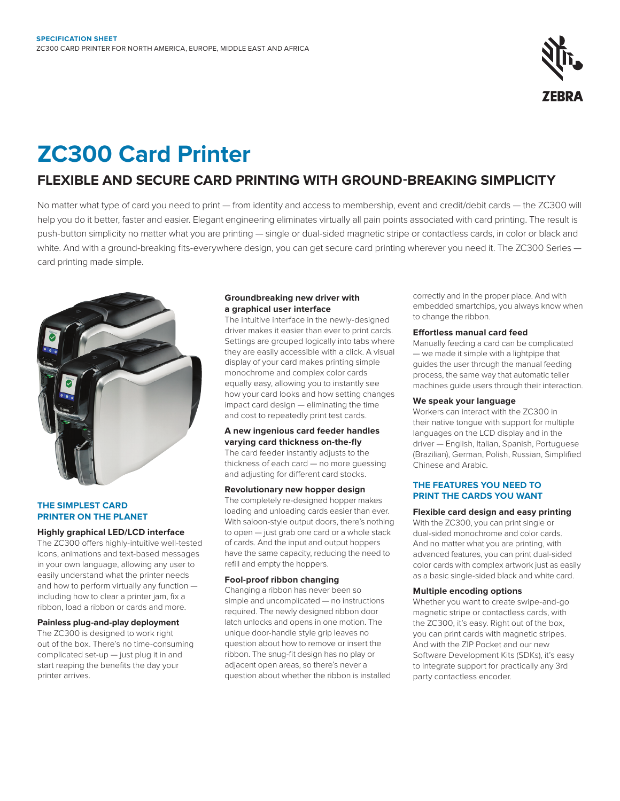

# **ZC300 Card Printer**

## **FLEXIBLE AND SECURE CARD PRINTING WITH GROUND-BREAKING SIMPLICITY**

No matter what type of card you need to print — from identity and access to membership, event and credit/debit cards — the ZC300 will help you do it better, faster and easier. Elegant engineering eliminates virtually all pain points associated with card printing. The result is push-button simplicity no matter what you are printing — single or dual-sided magnetic stripe or contactless cards, in color or black and white. And with a ground-breaking fits-everywhere design, you can get secure card printing wherever you need it. The ZC300 Series card printing made simple.



## **THE SIMPLEST CARD PRINTER ON THE PLANET**

## **Highly graphical LED/LCD interface**

The ZC300 offers highly-intuitive well-tested icons, animations and text-based messages in your own language, allowing any user to easily understand what the printer needs and how to perform virtually any function including how to clear a printer jam, fix a ribbon, load a ribbon or cards and more.

## **Painless plug-and-play deployment**

The ZC300 is designed to work right out of the box. There's no time-consuming complicated set-up — just plug it in and start reaping the benefits the day your printer arrives.

## **Groundbreaking new driver with a graphical user interface**

The intuitive interface in the newly-designed driver makes it easier than ever to print cards. Settings are grouped logically into tabs where they are easily accessible with a click. A visual display of your card makes printing simple monochrome and complex color cards equally easy, allowing you to instantly see how your card looks and how setting changes impact card design — eliminating the time and cost to repeatedly print test cards.

## **A new ingenious card feeder handles varying card thickness on-the-fly** The card feeder instantly adjusts to the

thickness of each card — no more guessing and adjusting for different card stocks.

## **Revolutionary new hopper design**

The completely re-designed hopper makes loading and unloading cards easier than ever. With saloon-style output doors, there's nothing to open — just grab one card or a whole stack of cards. And the input and output hoppers have the same capacity, reducing the need to refill and empty the hoppers.

## **Fool-proof ribbon changing**

Changing a ribbon has never been so simple and uncomplicated — no instructions required. The newly designed ribbon door latch unlocks and opens in one motion. The unique door-handle style grip leaves no question about how to remove or insert the ribbon. The snug-fit design has no play or adjacent open areas, so there's never a question about whether the ribbon is installed correctly and in the proper place. And with embedded smartchips, you always know when to change the ribbon.

## **Effortless manual card feed**

Manually feeding a card can be complicated — we made it simple with a lightpipe that guides the user through the manual feeding process, the same way that automatic teller machines guide users through their interaction.

## **We speak your language**

Workers can interact with the ZC300 in their native tongue with support for multiple languages on the LCD display and in the driver — English, Italian, Spanish, Portuguese (Brazilian), German, Polish, Russian, Simplified Chinese and Arabic.

## **THE FEATURES YOU NEED TO PRINT THE CARDS YOU WANT**

## **Flexible card design and easy printing**

With the ZC300, you can print single or dual-sided monochrome and color cards. And no matter what you are printing, with advanced features, you can print dual-sided color cards with complex artwork just as easily as a basic single-sided black and white card.

## **Multiple encoding options**

Whether you want to create swipe-and-go magnetic stripe or contactless cards, with the ZC300, it's easy. Right out of the box, you can print cards with magnetic stripes. And with the ZIP Pocket and our new Software Development Kits (SDKs), it's easy to integrate support for practically any 3rd party contactless encoder.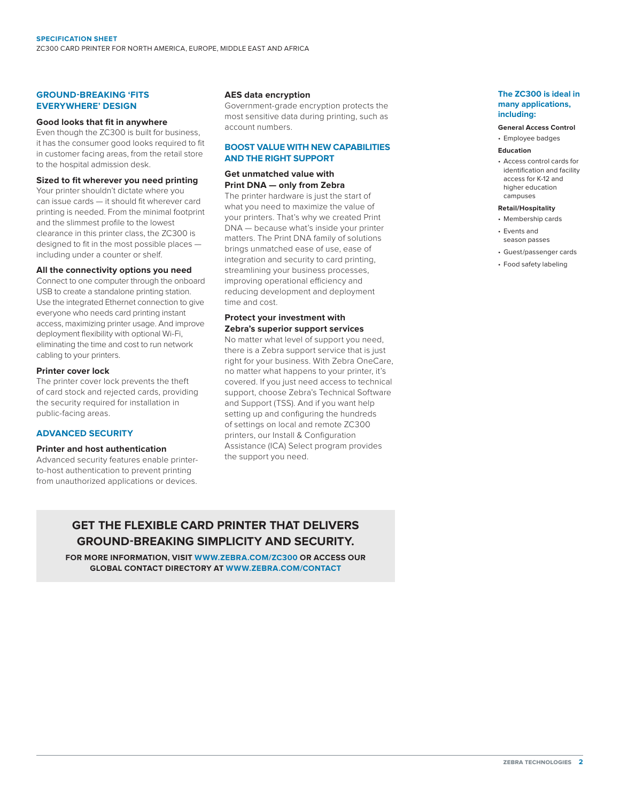## **GROUND-BREAKING 'FITS EVERYWHERE' DESIGN**

#### **Good looks that fit in anywhere**

Even though the ZC300 is built for business, it has the consumer good looks required to fit in customer facing areas, from the retail store to the hospital admission desk.

#### **Sized to fit wherever you need printing**

Your printer shouldn't dictate where you can issue cards — it should fit wherever card printing is needed. From the minimal footprint and the slimmest profile to the lowest clearance in this printer class, the ZC300 is designed to fit in the most possible places including under a counter or shelf.

## **All the connectivity options you need**

Connect to one computer through the onboard USB to create a standalone printing station. Use the integrated Ethernet connection to give everyone who needs card printing instant access, maximizing printer usage. And improve deployment flexibility with optional Wi-Fi, eliminating the time and cost to run network cabling to your printers.

## **Printer cover lock**

The printer cover lock prevents the theft of card stock and rejected cards, providing the security required for installation in public-facing areas.

## **ADVANCED SECURITY**

## **Printer and host authentication**

Advanced security features enable printerto-host authentication to prevent printing from unauthorized applications or devices.

## **AES data encryption**

Government-grade encryption protects the most sensitive data during printing, such as account numbers.

## **BOOST VALUE WITH NEW CAPABILITIES AND THE RIGHT SUPPORT**

## **Get unmatched value with Print DNA — only from Zebra**

The printer hardware is just the start of what you need to maximize the value of your printers. That's why we created Print DNA — because what's inside your printer matters. The Print DNA family of solutions brings unmatched ease of use, ease of integration and security to card printing, streamlining your business processes, improving operational efficiency and reducing development and deployment time and cost.

## **Protect your investment with Zebra's superior support services**

No matter what level of support you need, there is a Zebra support service that is just right for your business. With Zebra OneCare, no matter what happens to your printer, it's covered. If you just need access to technical support, choose Zebra's Technical Software and Support (TSS). And if you want help setting up and configuring the hundreds of settings on local and remote ZC300 printers, our Install & Configuration Assistance (ICA) Select program provides the support you need.

### **The ZC300 is ideal in many applications, including:**

#### **General Access Control**

• Employee badges

#### **Education**

• Access control cards for identification and facility access for K-12 and higher education campuses

## **Retail/Hospitality**

- Membership cards
- Events and season passes
- Guest/passenger cards
- Food safety labeling

## **GET THE FLEXIBLE CARD PRINTER THAT DELIVERS GROUND-BREAKING SIMPLICITY AND SECURITY.**

**FOR MORE INFORMATION, VISIT [WWW.ZEBRA.COM/](http://www.zebra.com/zc300)ZC300 OR ACCESS OUR GLOBAL CONTACT DIRECTORY AT [WWW.ZEBRA.COM/CONTACT](http://www.zebra.com/contact)**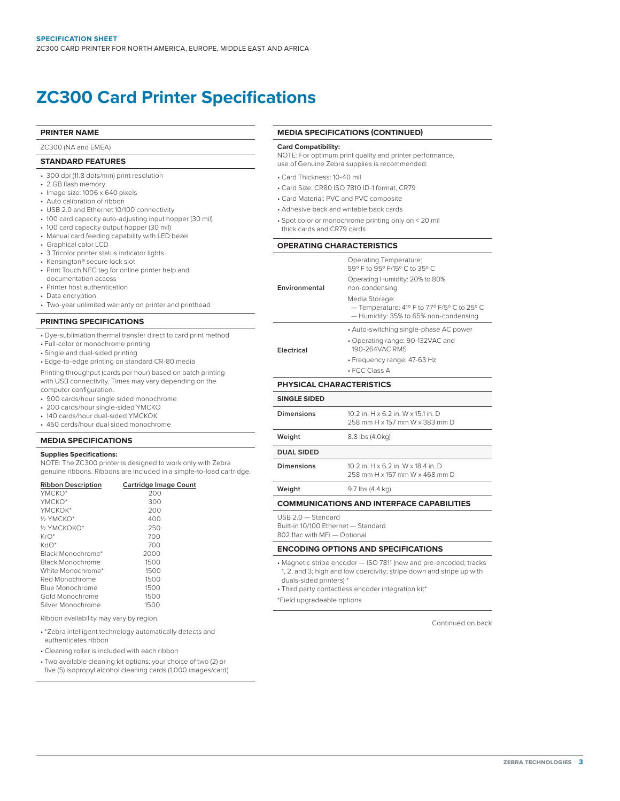## **ZC300 Card Printer Specifications**

#### **PRINTER NAME**

#### ZC300 (NA and EMEA)

## **STANDARD FEATURES**

- 300 dpi (11.8 dots/mm) print resolution
- 2 GB flash memory
- Image size: 1006 x 640 pixels
- Auto calibration of ribbon
- USB 2.0 and Ethernet 10/100 connectivity
- 100 card capacity auto-adjusting input hopper (30 mil)
- 100 card capacity output hopper (30 mil)
- Manual card feeding capability with LED bezel
- Graphical color LCD
- 3 Tricolor printer status indicator lights
- Kensington® secure lock slot
- Print Touch NFC tag for online printer help and documentation access
- Printer host authentication
- Data encryption
- Two-year unlimited warranty on printer and printhead

#### **PRINTING SPECIFICATIONS**

- Dye-sublimation thermal transfer direct to card print method
- Full-color or monochrome printing
- Single and dual-sided printing
- Edge-to-edge printing on standard CR-80 media

Printing throughput (cards per hour) based on batch printing with USB connectivity. Times may vary depending on the computer configuration.

- 900 cards/hour single sided monochrome
- 200 cards/hour single-sided YMCKO
- 140 cards/hour dual-sided YMCKOK
- 450 cards/hour dual sided monochrome

#### **MEDIA SPECIFICATIONS**

#### **Supplies Specifications:**

NOTE: The ZC300 printer is designed to work only with Zebra genuine ribbons. Ribbons are included in a simple-to-load cartridge.

| <b>Cartridge Image Count</b> |
|------------------------------|
| 200                          |
| 300                          |
| 200                          |
| 400                          |
| 250                          |
| 700                          |
| 700                          |
| 2000                         |
| 1500                         |
| 1500                         |
| 1500                         |
| 1500                         |
| 1500                         |
| 1500                         |
|                              |

Ribbon availability may vary by region.

• \*Zebra intelligent technology automatically detects and authenticates ribbon

• Cleaning roller is included with each ribbon

• Two available cleaning kit options: your choice of two (2) or five (5) isopropyl alcohol cleaning cards (1,000 images/card)

## **MEDIA SPECIFICATIONS (CONTINUED)**

#### **Card Compatibility:**

NOTE: For optimum print quality and printer performance, use of Genuine Zebra supplies is recommended.

- Card Thickness: 10-40 mil
- Card Size: CR80 ISO 7810 ID-1 format, CR79
- Card Material: PVC and PVC composite
- Adhesive back and writable back cards
- Spot color or monochrome printing only on < 20 mil thick cards and CR79 cards

#### **OPERATING CHARACTERISTICS**

|                                 | $-$ Temperature: 41° F to 77° F/5° C to 25° C<br>- Humidity: 35% to 65% non-condensing<br>• Auto-switching single-phase AC power |  |
|---------------------------------|----------------------------------------------------------------------------------------------------------------------------------|--|
| Electrical                      | • Operating range: 90-132VAC and<br>190-264VAC RMS                                                                               |  |
|                                 | • Frequency range: 47-63 Hz                                                                                                      |  |
|                                 | $\overline{\bullet}$ FCC Class A                                                                                                 |  |
| <b>PHYSICAL CHARACTERISTICS</b> |                                                                                                                                  |  |
| <b>SINGLE SIDED</b>             |                                                                                                                                  |  |

| ----------        |                                                                       |
|-------------------|-----------------------------------------------------------------------|
| Dimensions        | 10.2 in. H x 6.2 in. W x 15.1 in. D<br>258 mm H x 157 mm W x 383 mm D |
| Weight            | 8.8 lbs (4.0kg)                                                       |
| <b>DUAL SIDED</b> |                                                                       |
| Dimensions        | 10.2 in. H x 6.2 in. W x 18.4 in. D<br>258 mm H x 157 mm W x 468 mm D |
| Weight            | 9.7 lbs (4.4 kg)                                                      |

## **COMMUNICATIONS AND INTERFACE CAPABILITIES**

USB 2.0 — Standard

Built-in 10/100 Ethernet — Standard

802.11ac with MFi — Optional

#### **ENCODING OPTIONS AND SPECIFICATIONS**

• Magnetic stripe encoder — ISO 7811 (new and pre-encoded; tracks 1, 2, and 3; high and low coercivity; stripe down and stripe up with duals-sided printers) \*

• Third party contactless encoder integration kit\*

\*Field upgradeable options

Continued on back